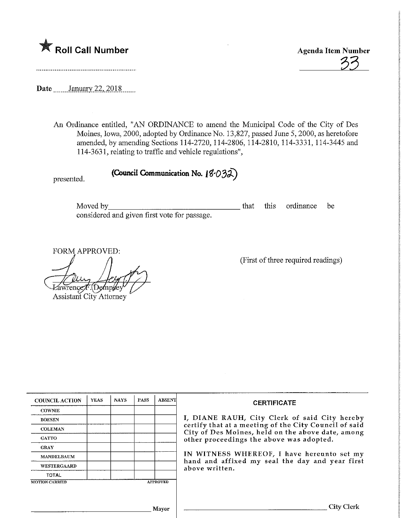

33

Date \_\_\_\_\_\_ January 22, 2018

An Ordinance entitled, "AN ORDINANCE to amend the Municipal Code of the City of Des Moines, Iowa, 2000, adopted by Ordinance No. 13,827, passed June 5, 2000, as heretofore amended, by amending Sections 114-2720,114-2806, 114-2810, 114-3331, 114-3445 and 114-3631, relating to traffic and vehicle regulations",

presented.

(Council Communication No.  $18-032$ )

Moved by^ that this ordinance be considered and given first vote for passage.

FORM APPROVED:

wrence *F*. (Demp/ey

Assistant City Attorney

(First of three required readings)

| <b>COUNCIL ACTION</b>              | <b>YEAS</b> | <b>NAYS</b> | <b>PASS</b> | <b>ABSENT</b>   |                                                                      |
|------------------------------------|-------------|-------------|-------------|-----------------|----------------------------------------------------------------------|
| <b>COWNIE</b>                      |             |             |             |                 | I, DIANE RAUH,<br>certify that at a mee<br><b>City of Des Moines</b> |
| <b>BOESEN</b>                      |             |             |             |                 |                                                                      |
| <b>COLEMAN</b><br><b>GATTO</b>     |             |             |             |                 |                                                                      |
|                                    |             |             |             |                 | other proceedings                                                    |
| <b>GRAY</b>                        |             |             |             |                 |                                                                      |
| <b>MANDELBAUM</b>                  |             |             |             |                 | IN WITNESS WHE<br>hand and affixed:<br>above written.                |
| <b>WESTERGAARD</b><br><b>TOTAL</b> |             |             |             |                 |                                                                      |
|                                    |             |             |             |                 |                                                                      |
| <b>MOTION CARRIED</b>              |             |             |             | <b>APPROVED</b> |                                                                      |

**CERTIFICATE** 

City Clerk of said City hereby eting of the City Council of said , held on the above date, among the above was adopted.

EREOF, I have hereunto set my my seal the day and year first

City Clerk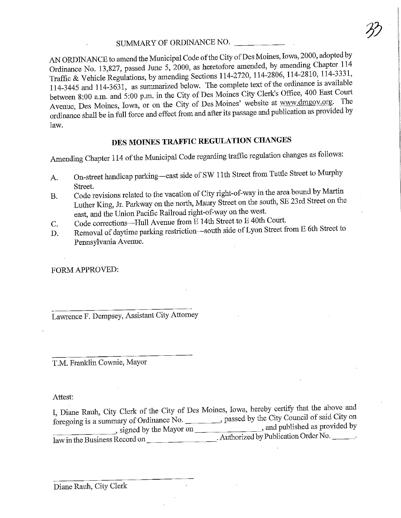SUMMARY OF ORDINANCE NO. Ordinance No. 13,827, passed June 5, 2000, as heretofore amended, by amending Chapter 114 Traffic & Vehicle Regulations, by amending Sections 114-2720, 114-2806, 114-2810, 114-3331, 114-3445 and 114-3631, as summarized below. The complete text of the ordinance is available between 8:00 a.m. and 5:00 p.m. in the City of Des Moines City Clerk's Office, 400 East Court Avenue, Des Moines, Iowa, or on the City of Des Moines' website at www.dmgov.org. The venue, Des Moines, Iowa, or on the City of Des Moines' website at which are the City of Design at which can be worded by dinance shall be in full force and effect from and after the public cate  $\frac{1}{2}$ law.

#### DES MOINES TRAFFIC REGULATION CHANGES

Amending Chapter 114 of the Municipal Code regarding traffic regulation changes as follows:

- A. On-street handicap parking—east side of SW 1 1th Street from Tuttle Street to Murphy
- Street.<br>Code revisions related to the vacation of City right-of-way in the area bound by Martin  $B = \text{Code}$  revisions related to the vacation of City right-of-way in the literature by Martin by Martin by Martin by Martin by Martin by Martin by Martin by Martin by Martin by Martin by Martin by Martin by Martin by Marti uther King, Jr. Parkway on the north, Maury Street on the south, SE 23 east, and the Union Pacific Railroad right-of-way on the west.<br>Code corrections—Hull Avenue from E 14th Street to E 40th Court.
- 
- Code corrections—Hull Avenue  $\lim_{n \to \infty} E$  14th Street to E 40fh Court. Removal of daytime parking restriction—south side of  $L_y$  on Street from  $L_y$ Pennsylvania Avenue.

FORM APPROVED:

Lawrence F. Dempsey, Assistant City Attorney

T.M. Franklin Cownie, Mayor

Attest:

I, Diane Rauh, City Clerk of the City of Des Monics, Iowa, hereby certify that the Rights of said City on foregoing is a summary of Ordinance No. \_\_\_\_\_\_\_\_\_, passed by the City Council of same City.  $\frac{1}{2}$ , signed by the Mayor on  $\frac{1}{2}$ ,  $\frac{1}{4}$ ,  $\frac{1}{4}$ ,  $\frac{1}{4}$ ,  $\frac{1}{4}$ ,  $\frac{1}{4}$ ,  $\frac{1}{4}$ ,  $\frac{1}{4}$ ,  $\frac{1}{4}$ ,  $\frac{1}{4}$ ,  $\frac{1}{4}$ ,  $\frac{1}{4}$ ,  $\frac{1}{4}$ ,  $\frac{1}{4}$ ,  $\frac{1}{4}$ ,  $\frac{1}{4}$ ,  $\frac{1}{4}$ , law in the Business Record on  $\frac{1}{\sqrt{2}}$  Authorized by Publication Order No.  $\frac{1}{\sqrt{2}}$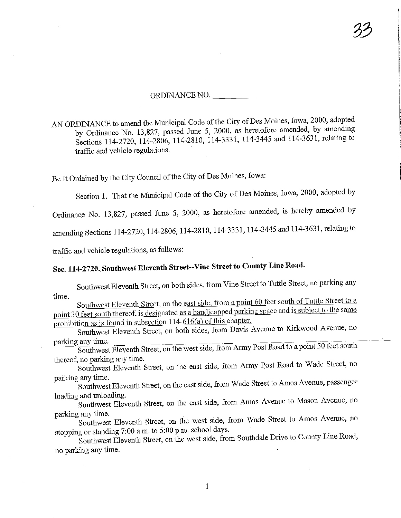#### ORDINANCE NO.

AN ORDINANCE to amend the Municipal Code of the City of Des Moines, Iowa, 2000, adopted<br>by Ordinance No. 13,827, passed June 5, 2000, as heretofore amended, by amending by Ordinance No. 13,827, passed June 5, 2000, as heretofore amending  $\frac{1}{2}$ ,  $\frac{1}{2}$  relating to  $S = \frac{114-2720}{5}$ , 114-2800, 114-2810, 114-3331, 114-3445 and 114-363-31, relating to  $S = \frac{1}{2}$ traffic and vehicle regulations.

Be It Ordained by the City Council of the City of Des Moines, Iowa:

Section 1. That the Municipal Code of the City of Des Moines, Iowa, 2000, adopted by

Ordinance No. 13,827, passed June 5, 2000, as heretofore amended, is hereby amended by

amending Sections 114-2720, 114-2806, 114-2810, 114-3331, 114-3445 and 114-3631, relating to

traffic and vehicle regulations, as follows:

### Sec. 114-2720, Southwest Eleventh Street-Vme Street to County Line Road.

Southwest Eleventh Street, on both sides, from Vine Street to Tuttle Street, no parking any time.

outhwest Eleventh Street, on the east side, from a point  $\frac{1}{2}$  feed south of the same  $p_{\text{out}}$  30 feet south thereof, is designated as a handicapped parking space and is subset to the same same same. prohibition as is found in subsection 114-616(a) of this chapter.

Southwest Eleventh Street, on both sides, from Davis Avenue to Kirkwood Avenue, no parking any time.

Southwest Eleventh Street, on the west side, from Army Post Road to a point 50 feet south thereof, no parking any time.

hereof, no parking any ulife. Southwest Eleventh Street, on the east side, from Army Post Road to Wade Street, no parking any time.

Southwest Eleventh Street, on the east side, from Wade Street to Amos Avenue, passenger loading and unloading.

loading and unloading. Southwest Eleventh Street, on the east side, from Amos Avenue to  $\frac{1}{2}$ parking any time.

Southwest Eleventh Street, on the west side, from Wade Street to Amos Avenue, no stopping or standing 7:00 a.m. to 5:00 p.m. school days.

Southwest Eleventh Street, on the west side, from Southdale Drive to County Line Road, no parking any time.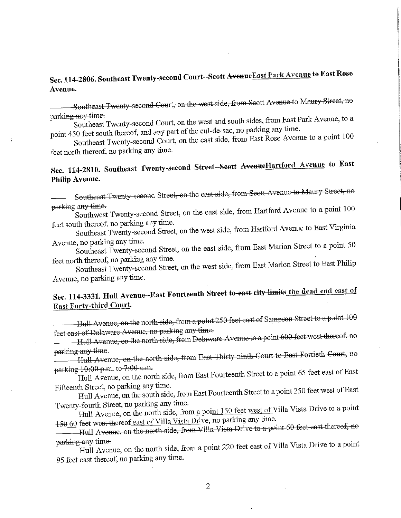#### Sec. 114-2806. Southeast Twenty-second Court--Scott Avenue East Park Avenue to East Rose Avenue.

Southeast Twenty second Court, on the west side, from Scott Avenue to Maury Street, no<br>parking any time.

 $H$ <sub>KH</sub>  $H$ <sub>3</sub> $H$ <sub>im</sub> $T$  $\mu$  southeast Twenty-second Court, on the west also are no parking any time.

point  $450$  feet south thereof, and any part of the cost  $\eta_{AB}$  from Bast Rose. Avenue  $S$  and  $S$  is a point  $S$  on the east side,  $\frac{1}{2}$ feet north thereof., no parking any time.

### Sec. 114-2810. Southeast Twenty-second Street--Scott AvenueHartford Avenue to East Philip Avenue.

Southeast Twenty second Street, on the east side, from Scott Avenue to Maury Street, no<br>parking any time.

<del>rking any time.</del>  $S$  in the east side,  $S$  and  $S$  is a point  $S$  side,  $S$  and  $S$  and  $S$  is a point  $S$  point  $S$  is a point  $S$  point  $S$  and  $S$  and  $S$  are  $S$  and  $S$  are  $S$  and  $S$  are  $S$  and  $S$  are  $S$  and  $S$  are  $S$  and  $S$ 

 $\text{et}$  south thereof, no parking any time.  $S$  and  $S$  is the second Street, on the west side,  $\frac{1}{2}$ 

 $\gamma$ enue, no parking any time.  $S$  Southeast Twenty-second Street, on the east  $S = \frac{1}{2}$ 

 $\text{et north there}$ . no parking any time. Surfleast Twenty-second Street, on the west  $\frac{1}{2}$ Avenue, no parking any time.

# Sec. 114-3331. Hull Avenue--East Fourteenth Street to east city limits the dead end east of East Forty-third Court.

————Hull Avenue, on the north side, from a point 250 feet east of Sampson Street to a point 100<br>feet east of Delaware Avenue, no parking any time.

f<del>et east of Delaware Avenue, no</del> parking any time.  $\frac{P}{P}$ 

arking any time. Hull Avenue, on the north side, &em East Thirty ninth Court to East Fortieth Court, no

arkin<del>g 10:00 p.m. to 7:00 a.m.</del>  $Hull$  Avenue, on the norm side, from East Fourteenframe  $\tilde{S}$ 

Fifteenth Street, no parking any time. Hull Avenue, on the south side, from East Fourteenth Street to organization Street west of Taylor Street west of East of East of East of East of East of East of East of East of East of East of East of East of East of East

 $\frac{1}{2}$  wenty-fourth Street, no parking any time.  $\frac{1}{2}$  Hull Avenue, on the north side,  $\frac{1}{2}$  from a point 1.50  $\frac{1}{2}$  and point 1.50  $\frac{1}{2}$  and point 1.50  $\frac{1}{2}$  and  $\frac{1}{2}$  and  $\frac{1}{2}$  and  $\frac{1}{2}$  and  $\frac{1}{2}$  and  $\frac{1}{2}$  and  $\frac{1}{2}$  and  $\frac$ 150\_60 feet west thereof east of Villa Vista Drive, no parking any time.

Hull Avenue, on the north side, from Villa Vista Drive to a point 60 feet east thereof, no<br>parking any time.

<del>parking any time.</del>  $H \text{uI}$  Avenue, on the north side, from a point  $220$ 95 feet east thereof, no parking any time.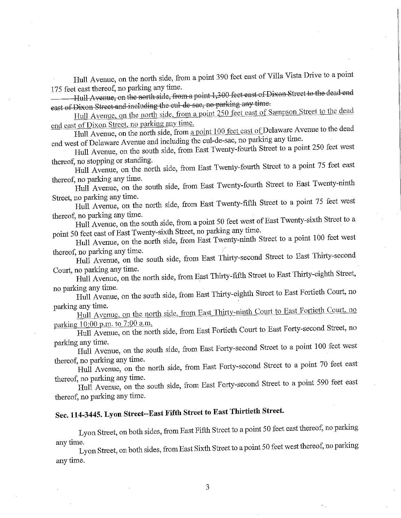Hull Avenue, on the north side, from a point 390 feet east of Villa Vista Drive to a point 175 feet east thereof, no parking any time.

teet east thereof, no parking any tune.  $H_1$  Avenue, on the north side, from a point 1,300 feet east  $T_{\text{max}}$ 

©ast ofDixon Street and including the cut de QQ.C, no parking any time7  $\frac{m}{\sqrt{2}}$  and  $\frac{m}{\sqrt{2}}$  for the north side, from a point 250 feet east of Sampson Street to the deadles

end east of Dixon Street, no parking any time.<br>Hull Avenue, on the north side, from a point 100 feet east of Delaware Avenue to the dead end west of Delaware Avenue and including the cul-de-sac, no parking any time.

d west of Delaware Avenue and including the cul-de-sacre-sacre-sacre-sacre-sacre-sacre-sacre-sacre-sacre-sacre- $\frac{1}{10}$  Avenue, on the south side, from East Twenty-fourth Street to a point 250 feet west

ereof, no stopping or standing.  $\frac{d}{dt}$  Avenue, on the north side, from East Twenty-fourth Street to a point  $\frac{d}{dt}$ 

ereof, no parking any time.  $H$ ull Avenue, on the south side, from East Twenty-fourth Sb'eet to  $E$ 

reet, no parking any time. ull Avenue, on the north side, from East Twenty-fight  $S_t$  feet to a point  $\frac{1}{2}$ 

ereof, no parking any time.  $\mu$ III Avenue, on the south side, from a point  $\frac{1}{2}$  for  $\frac{1}{2}$  for  $\frac{1}{2}$  for  $\frac{1}{2}$  for a point  $\frac{1}{2}$  for a point  $\frac{1}{2}$  for a point  $\frac{1}{2}$  for a point  $\frac{1}{2}$  for a point  $\frac{1}{2}$  for a point

point 50 feet east of East Twenty-sixth Street, no parking any  $\frac{m}{\sqrt{2}}$ ull Avenue, on the north side, from East Twenty-ninth  $\frac{1}{2}$ 

ereof, no parking any time.  $H\parallel$  Avenue, on the south side, from East Thirty-second Street to  $E$ 

Court, no parking any time.  $\lim_{n \to \infty}$  and  $\lim_{n \to \infty}$  from  $\lim_{n \to \infty}$   $\lim_{n \to \infty}$ 

no parking any time.  $\mu$ Iuli Avenue, on the south side, from East Thirty-elgenth Street to  $\mu$ 

parking any time. hull Avenue, on the north side, from East Thirty-number Court to East parking 10:00 p.m. to 7:00 a.m.

Hull Avenue, on the north side, from East Fortieth Court to East Forty-second Street, no parking any time.

Hull Avenue, on the south side, from East Forty-second Street to a point 100 feet west thereof, no parking any time.

Hull Avenue, on the north side, from East Forty-second Street to a point 70 feet east thereof, no parking any time.

hereof, no parking any time. Hull Avenue, on the south side, from East Forty-second Street to a point 590 term of the point 590 term 590 te thereof, no parking any time.

## Sec. 114-3445. Lyon Street-East Fifth Street to East Thirtieih Street.

Lyon Street, on both sides, from East Fifth Street to a point 50 feet east thereof, no parking any time.

Lyon Street, on both sides, from Bast Sixth Street to a point 50 feet west thereof, no parking any time.

3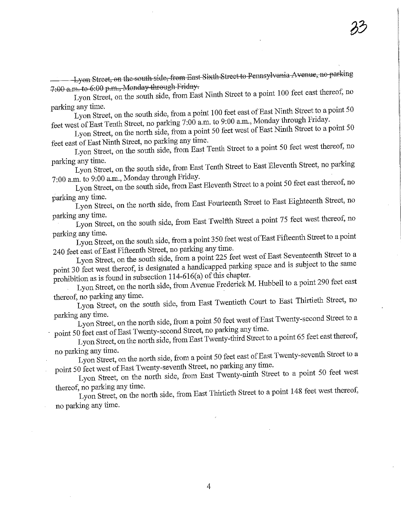———— Lyon Street, on the south side, from East Sixth Street to Pennsylvania Avenue, no parking<br>7:00 a.m. to 6:00 p.m., Monday through Friday.

 $9.9.00$  p.m., wondy dubley from, on Street, on the south side, from East Nmatt  $S = \frac{1}{2}$ 

parking any time.<br>Lyon Street, on the south side, from a point 100 feet east of East Ninth Street to a point 50 feet west of East Tenth Street, no parking 7:00 a.m. to 9:00 a.m., Monday through Friday.

ference of East Tenth Street, no parking 7:00 a.m. to 9:00 a.m. to 17:00 a.m. Ninth Street to a.p.  $\Omega_{\text{II}}$  Street, on the north side, from a point  $\frac{1}{2}$  from a point  $\frac{1}{2}$ 

feet east of East Ninth Street, no parking any time. on Street, on the south side, from East Tend Street to  $\frac{1}{1}$ 

rking any ume. on Street, on the south side, from East Tenth Street to East Eleventh Street, no parking Street, no parking Street, no parking the street to East Eleventh Street, no parking the street to East Eleventh Street, no parking t

 $700$  a.m. to 9.00 a.m., Monday through Friday.  $\Omega_{\text{M}}$  Street, on the south side, from East Eleventh Street to a point  $\Omega_{\text{M}}$ 

parking any time.  $V_{\text{OM}}$  Street, on the north side, from East Fourteenth Street, northern Street to East Eighteenth Street to East Eighteenth Street to East Eighteenth Street to East Eighteenth Street to East Eighteenth Street, northern

rking any time.  $\gamma$  Street, on the south side, from East Twelfth Street  $\gamma$ 

parking any time.  $\mu_{\text{S}}$  street, on the south side, from a point  $\mu_{\text{S}}$  for a point  $\mu_{\text{S}}$ 

240 feet east of East Fifteenth Street, no parking any time.<br>Lyon Street, on the south side, from a point 225 feet west of East Seventeenth Street to a yon Street, on the south side, from a point 225 feet page and is subject to the same  $p_{\text{out}}$  30 feet west thereof, is designated a handicapped partner

rohibition as is found in subsection  $114-616(a)$  of this case  $1.4-616$  $\sum_{i=1}^{\infty}$  Street, on the north side, from Avenue Predediction  $\sum_{i=1}^{\infty}$ thereof, no parking any time.

Lyon Street, on the south side, from East Twentieth Court to East Thirtieth Street, no parking any time.

Lyon Street, on the north side, from a point 50 feet west of East Twenty-second Street to a point 50 feet east of East Twenty-second Street, no parking any time.

point 50 feet east of East Twenty-second Street, no particularly to the Street to  $L_y$  Street, on the north side, from East  $\lambda$   $\lambda$   $\lambda$   $\lambda$   $\lambda$ 

no parking any time.  $L_y$  and  $L_y$  for the north side, from a point  $\sigma$  and  $\sigma$  and  $\sigma$  and  $\sigma$  are  $\sigma$  and  $\sigma$  are  $\sigma$  and  $\sigma$  are  $\sigma$  and  $\sigma$  are  $\sigma$  and  $\sigma$  are  $\sigma$  and  $\sigma$  are  $\sigma$  and  $\sigma$  are  $\sigma$  and  $\sigma$  are  $\sigma$  and  $\sigma$ 

point 50 feet west of East Twenty-seventh Street, ne part Twenty pinth. Street, Lyon Street, on the norm side, from East Twenty-ninth Street to a point 50 feet west

hereof, no parking any time.  $L_y$ on Street, on the north side, from East Thirtieth  $\tilde{L}_y$ no parking any time.